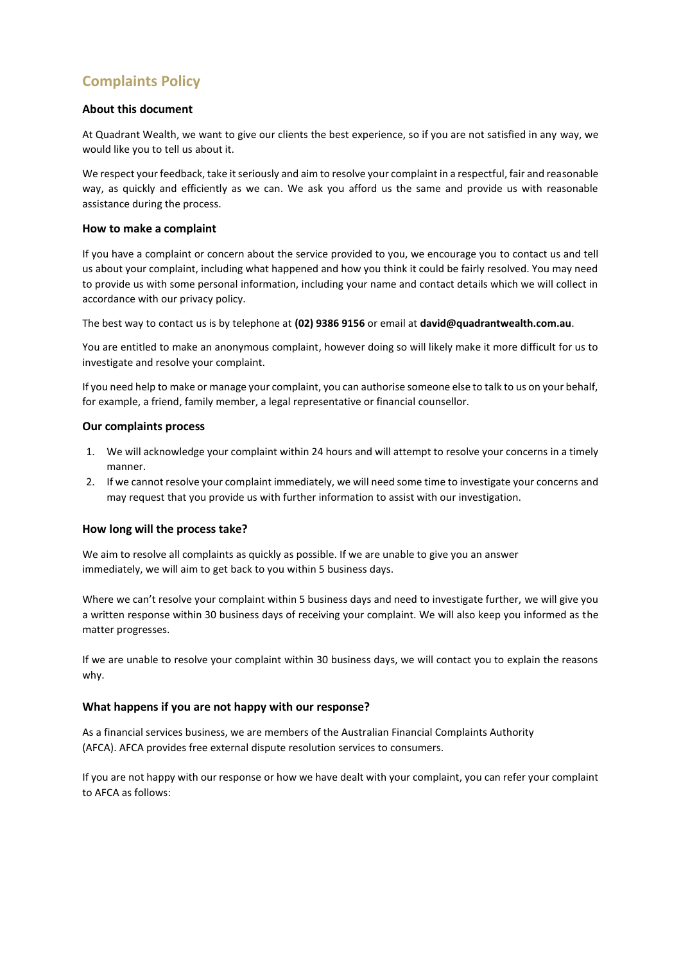# **Complaints Policy**

#### **About this document**

At Quadrant Wealth, we want to give our clients the best experience, so if you are not satisfied in any way, we would like you to tell us about it.

We respect your feedback, take it seriously and aim to resolve your complaint in a respectful, fair and reasonable way, as quickly and efficiently as we can. We ask you afford us the same and provide us with reasonable assistance during the process.

#### **How to make a complaint**

If you have a complaint or concern about the service provided to you, we encourage you to contact us and tell us about your complaint, including what happened and how you think it could be fairly resolved. You may need to provide us with some personal information, including your name and contact details which we will collect in accordance with our privacy policy.

The best way to contact us is by telephone at **(02) 9386 9156** or email at **david@quadrantwealth.com.au**.

You are entitled to make an anonymous complaint, however doing so will likely make it more difficult for us to investigate and resolve your complaint.

If you need help to make or manage your complaint, you can authorise someone else to talk to us on your behalf, for example, a friend, family member, a legal representative or financial counsellor.

#### **Our complaints process**

- 1. We will acknowledge your complaint within 24 hours and will attempt to resolve your concerns in a timely manner.
- 2. If we cannot resolve your complaint immediately, we will need some time to investigate your concerns and may request that you provide us with further information to assist with our investigation.

# **How long will the process take?**

We aim to resolve all complaints as quickly as possible. If we are unable to give you an answer immediately, we will aim to get back to you within 5 business days.

Where we can't resolve your complaint within 5 business days and need to investigate further, we will give you a written response within 30 business days of receiving your complaint. We will also keep you informed as the matter progresses.

If we are unable to resolve your complaint within 30 business days, we will contact you to explain the reasons why.

# **What happens if you are not happy with our response?**

As a financial services business, we are members of the Australian Financial Complaints Authority (AFCA). AFCA provides free external dispute resolution services to consumers.

If you are not happy with our response or how we have dealt with your complaint, you can refer your complaint to AFCA as follows: